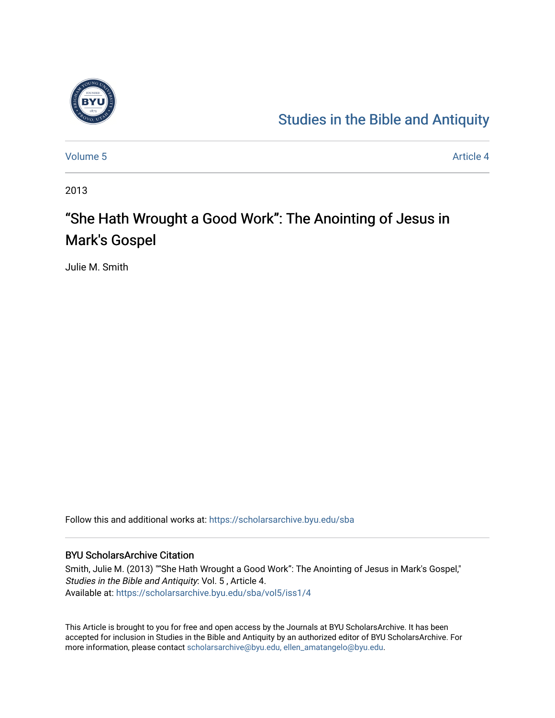

## [Studies in the Bible and Antiquity](https://scholarsarchive.byu.edu/sba)

[Volume 5](https://scholarsarchive.byu.edu/sba/vol5) Article 4

2013

# "She Hath Wrought a Good Work": The Anointing of Jesus in Mark's Gospel

Julie M. Smith

Follow this and additional works at: [https://scholarsarchive.byu.edu/sba](https://scholarsarchive.byu.edu/sba?utm_source=scholarsarchive.byu.edu%2Fsba%2Fvol5%2Fiss1%2F4&utm_medium=PDF&utm_campaign=PDFCoverPages)

## BYU ScholarsArchive Citation

Smith, Julie M. (2013) ""She Hath Wrought a Good Work": The Anointing of Jesus in Mark's Gospel," Studies in the Bible and Antiquity: Vol. 5 , Article 4. Available at: [https://scholarsarchive.byu.edu/sba/vol5/iss1/4](https://scholarsarchive.byu.edu/sba/vol5/iss1/4?utm_source=scholarsarchive.byu.edu%2Fsba%2Fvol5%2Fiss1%2F4&utm_medium=PDF&utm_campaign=PDFCoverPages)

This Article is brought to you for free and open access by the Journals at BYU ScholarsArchive. It has been accepted for inclusion in Studies in the Bible and Antiquity by an authorized editor of BYU ScholarsArchive. For more information, please contact [scholarsarchive@byu.edu, ellen\\_amatangelo@byu.edu.](mailto:scholarsarchive@byu.edu,%20ellen_amatangelo@byu.edu)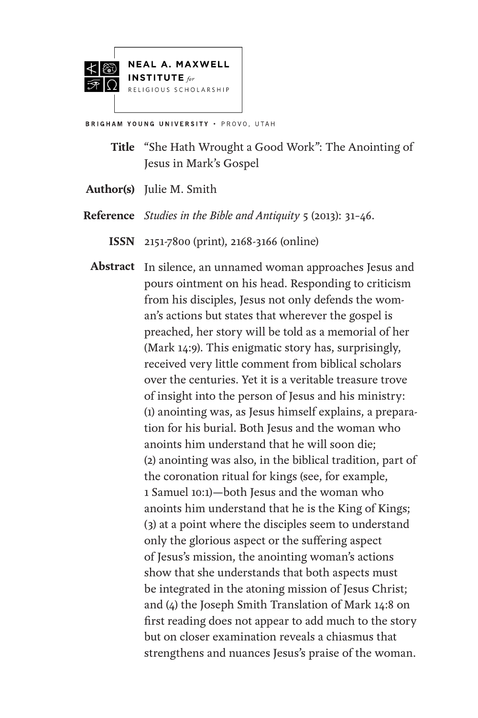



**BRIGHAM YOUNG UNIVERSITY . PROVO, UTAH** 

- **Title** "She Hath Wrought a Good Work": The Anointing of Jesus in Mark's Gospel
- **Author(s)** Julie M. Smith
- *Studies in the Bible and Antiquity* 5 (2013): 31–46. **Reference**
	- 2151-7800 (print), 2168-3166 (online) **ISSN**
	- Abstract In silence, an unnamed woman approaches Jesus and pours ointment on his head. Responding to criticism from his disciples, Jesus not only defends the woman's actions but states that wherever the gospel is preached, her story will be told as a memorial of her (Mark 14:9). This enigmatic story has, surprisingly, received very little comment from biblical scholars over the centuries. Yet it is a veritable treasure trove of insight into the person of Jesus and his ministry: (1) anointing was, as Jesus himself explains, a preparation for his burial. Both Jesus and the woman who anoints him understand that he will soon die; (2) anointing was also, in the biblical tradition, part of the coronation ritual for kings (see, for example, 1 Samuel 10:1)—both Jesus and the woman who anoints him understand that he is the King of Kings; (3) at a point where the disciples seem to understand only the glorious aspect or the suffering aspect of Jesus's mission, the anointing woman's actions show that she understands that both aspects must be integrated in the atoning mission of Jesus Christ; and (4) the Joseph Smith Translation of Mark 14:8 on first reading does not appear to add much to the story but on closer examination reveals a chiasmus that strengthens and nuances Jesus's praise of the woman.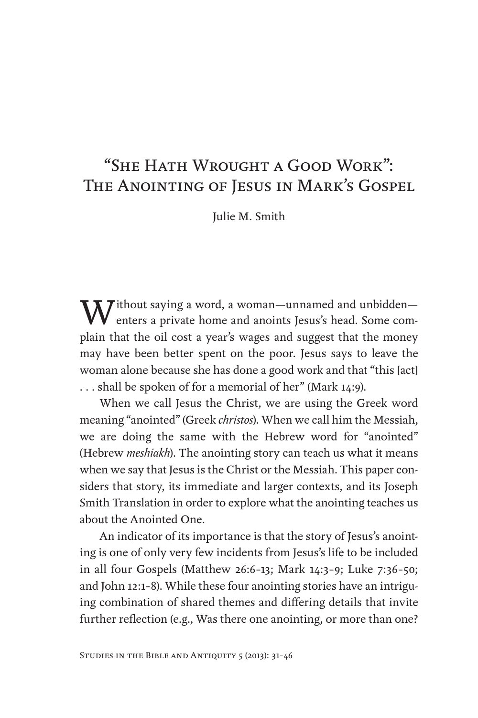## "She Hath Wrought a Good Work": The Anointing of Jesus in Mark's Gospel

Julie M. Smith

 $\boldsymbol{W}$ ithout saying a word, a woman—unnamed and unbidden—  $\bf{V}$  enters a private home and anoints Jesus's head. Some complain that the oil cost a year's wages and suggest that the money may have been better spent on the poor. Jesus says to leave the woman alone because she has done a good work and that "this [act] . . . shall be spoken of for a memorial of her" (Mark 14:9).

When we call Jesus the Christ, we are using the Greek word meaning "anointed" (Greek *christos*). When we call him the Messiah, we are doing the same with the Hebrew word for "anointed" (Hebrew *meshiakh*). The anointing story can teach us what it means when we say that Jesus is the Christ or the Messiah. This paper considers that story, its immediate and larger contexts, and its Joseph Smith Translation in order to explore what the anointing teaches us about the Anointed One.

An indicator of its importance is that the story of Jesus's anointing is one of only very few incidents from Jesus's life to be included in all four Gospels (Matthew 26:6–13; Mark 14:3–9; Luke 7:36–50; and John 12:1–8). While these four anointing stories have an intriguing combination of shared themes and differing details that invite further reflection (e.g., Was there one anointing, or more than one?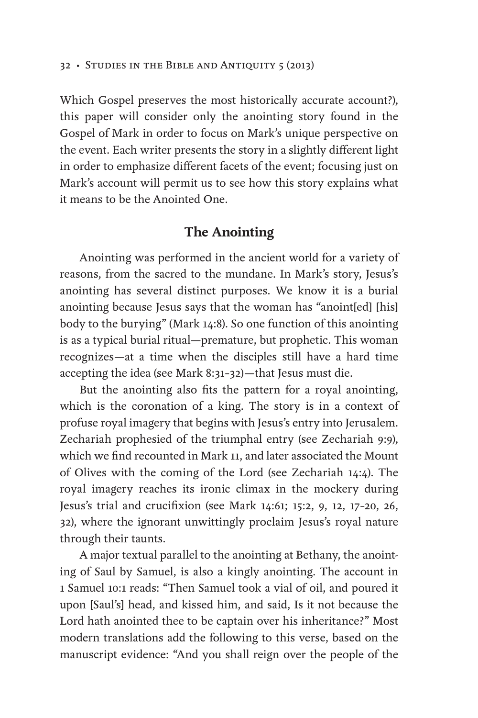Which Gospel preserves the most historically accurate account?), this paper will consider only the anointing story found in the Gospel of Mark in order to focus on Mark's unique perspective on the event. Each writer presents the story in a slightly different light in order to emphasize different facets of the event; focusing just on Mark's account will permit us to see how this story explains what it means to be the Anointed One.

## **The Anointing**

Anointing was performed in the ancient world for a variety of reasons, from the sacred to the mundane. In Mark's story, Jesus's anointing has several distinct purposes. We know it is a burial anointing because Jesus says that the woman has "anoint[ed] [his] body to the burying" (Mark 14:8). So one function of this anointing is as a typical burial ritual—premature, but prophetic. This woman recognizes—at a time when the disciples still have a hard time accepting the idea (see Mark 8:31–32)—that Jesus must die.

But the anointing also fits the pattern for a royal anointing, which is the coronation of a king. The story is in a context of profuse royal imagery that begins with Jesus's entry into Jerusalem. Zechariah prophesied of the triumphal entry (see Zechariah 9:9), which we find recounted in Mark 11, and later associated the Mount of Olives with the coming of the Lord (see Zechariah 14:4). The royal imagery reaches its ironic climax in the mockery during Jesus's trial and crucifixion (see Mark 14:61; 15:2, 9, 12, 17–20, 26, 32), where the ignorant unwittingly proclaim Jesus's royal nature through their taunts.

A major textual parallel to the anointing at Bethany, the anointing of Saul by Samuel, is also a kingly anointing. The account in 1 Samuel 10:1 reads: "Then Samuel took a vial of oil, and poured it upon [Saul's] head, and kissed him, and said, Is it not because the Lord hath anointed thee to be captain over his inheritance?" Most modern translations add the following to this verse, based on the manuscript evidence: "And you shall reign over the people of the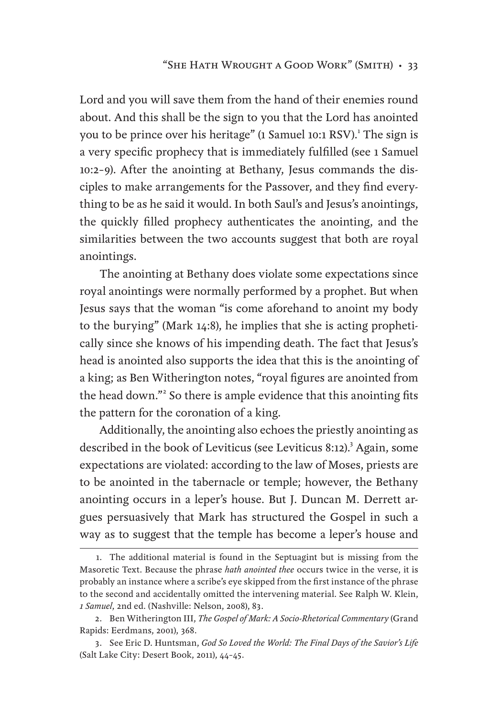Lord and you will save them from the hand of their enemies round about. And this shall be the sign to you that the Lord has anointed you to be prince over his heritage" (1 Samuel 10:1 RSV).<sup>1</sup> The sign is a very specific prophecy that is immediately fulfilled (see 1 Samuel 10:2–9). After the anointing at Bethany, Jesus commands the disciples to make arrangements for the Passover, and they find everything to be as he said it would. In both Saul's and Jesus's anointings, the quickly filled prophecy authenticates the anointing, and the similarities between the two accounts suggest that both are royal anointings.

The anointing at Bethany does violate some expectations since royal anointings were normally performed by a prophet. But when Jesus says that the woman "is come aforehand to anoint my body to the burying" (Mark 14:8), he implies that she is acting prophetically since she knows of his impending death. The fact that Jesus's head is anointed also supports the idea that this is the anointing of a king; as Ben Witherington notes, "royal figures are anointed from the head down."<sup>2</sup> So there is ample evidence that this anointing fits the pattern for the coronation of a king.

Additionally, the anointing also echoes the priestly anointing as described in the book of Leviticus (see Leviticus 8:12).<sup>3</sup> Again, some expectations are violated: according to the law of Moses, priests are to be anointed in the tabernacle or temple; however, the Bethany anointing occurs in a leper's house. But J. Duncan M. Derrett argues persuasively that Mark has structured the Gospel in such a way as to suggest that the temple has become a leper's house and

<sup>1.</sup> The additional material is found in the Septuagint but is missing from the Masoretic Text. Because the phrase *hath anointed thee* occurs twice in the verse, it is probably an instance where a scribe's eye skipped from the first instance of the phrase to the second and accidentally omitted the intervening material. See Ralph W. Klein, *1 Samuel*, 2nd ed. (Nashville: Nelson, 2008), 83.

<sup>2.</sup> Ben Witherington III, *The Gospel of Mark: A Socio-Rhetorical Commentary* (Grand Rapids: Eerdmans, 2001), 368.

<sup>3.</sup> See Eric D. Huntsman, *God So Loved the World: The Final Days of the Savior's Life* (Salt Lake City: Desert Book, 2011), 44–45.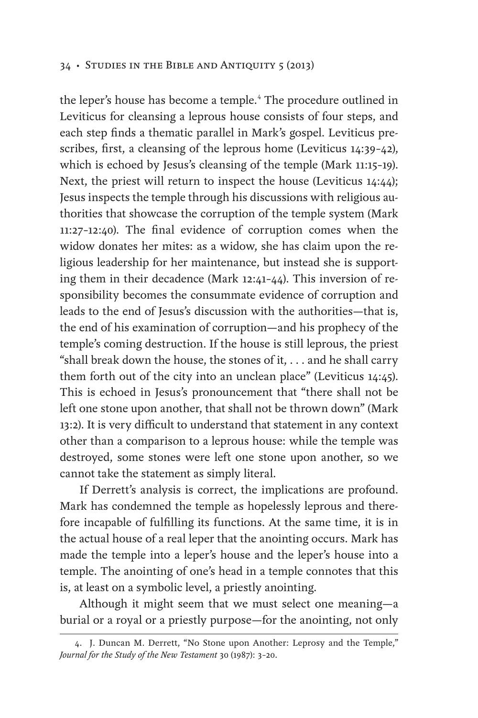the leper's house has become a temple.<sup>4</sup> The procedure outlined in Leviticus for cleansing a leprous house consists of four steps, and each step finds a thematic parallel in Mark's gospel. Leviticus prescribes, first, a cleansing of the leprous home (Leviticus 14:39–42), which is echoed by Jesus's cleansing of the temple (Mark 11:15–19). Next, the priest will return to inspect the house (Leviticus 14:44); Jesus inspects the temple through his discussions with religious authorities that showcase the corruption of the temple system (Mark 11:27–12:40). The final evidence of corruption comes when the widow donates her mites: as a widow, she has claim upon the religious leadership for her maintenance, but instead she is supporting them in their decadence (Mark 12:41–44). This inversion of responsibility becomes the consummate evidence of corruption and leads to the end of Jesus's discussion with the authorities—that is, the end of his examination of corruption—and his prophecy of the temple's coming destruction. If the house is still leprous, the priest "shall break down the house, the stones of it, . . . and he shall carry them forth out of the city into an unclean place" (Leviticus 14:45). This is echoed in Jesus's pronouncement that "there shall not be left one stone upon another, that shall not be thrown down" (Mark 13:2). It is very difficult to understand that statement in any context other than a comparison to a leprous house: while the temple was destroyed, some stones were left one stone upon another, so we cannot take the statement as simply literal.

If Derrett's analysis is correct, the implications are profound. Mark has condemned the temple as hopelessly leprous and therefore incapable of fulfilling its functions. At the same time, it is in the actual house of a real leper that the anointing occurs. Mark has made the temple into a leper's house and the leper's house into a temple. The anointing of one's head in a temple connotes that this is, at least on a symbolic level, a priestly anointing.

Although it might seem that we must select one meaning—a burial or a royal or a priestly purpose—for the anointing, not only

<sup>4.</sup> J. Duncan M. Derrett, "No Stone upon Another: Leprosy and the Temple," *Journal for the Study of the New Testament* 30 (1987): 3–20.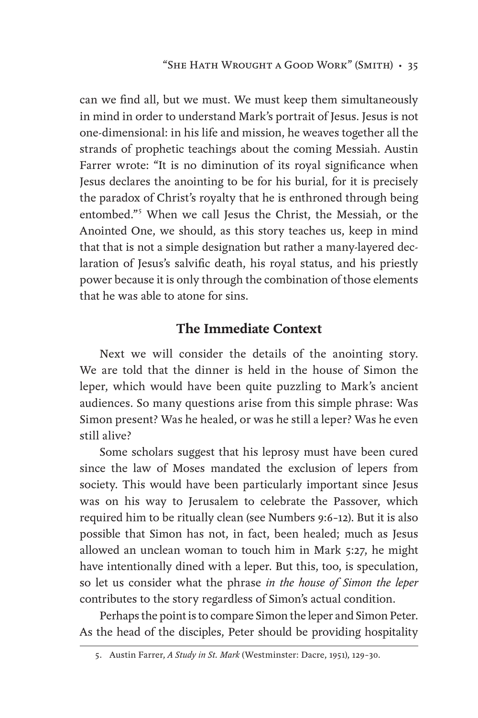can we find all, but we must. We must keep them simultaneously in mind in order to understand Mark's portrait of Jesus. Jesus is not one-dimensional: in his life and mission, he weaves together all the strands of prophetic teachings about the coming Messiah. Austin Farrer wrote: "It is no diminution of its royal significance when Jesus declares the anointing to be for his burial, for it is precisely the paradox of Christ's royalty that he is enthroned through being entombed."<sup>5</sup> When we call Jesus the Christ, the Messiah, or the Anointed One, we should, as this story teaches us, keep in mind that that is not a simple designation but rather a many-layered declaration of Jesus's salvific death, his royal status, and his priestly power because it is only through the combination of those elements that he was able to atone for sins.

## **The Immediate Context**

Next we will consider the details of the anointing story. We are told that the dinner is held in the house of Simon the leper, which would have been quite puzzling to Mark's ancient audiences. So many questions arise from this simple phrase: Was Simon present? Was he healed, or was he still a leper? Was he even still alive?

Some scholars suggest that his leprosy must have been cured since the law of Moses mandated the exclusion of lepers from society. This would have been particularly important since Jesus was on his way to Jerusalem to celebrate the Passover, which required him to be ritually clean (see Numbers 9:6–12). But it is also possible that Simon has not, in fact, been healed; much as Jesus allowed an unclean woman to touch him in Mark 5:27, he might have intentionally dined with a leper. But this, too, is speculation, so let us consider what the phrase *in the house of Simon the leper* contributes to the story regardless of Simon's actual condition.

Perhaps the point is to compare Simon the leper and Simon Peter. As the head of the disciples, Peter should be providing hospitality

<sup>5.</sup> Austin Farrer, *A Study in St. Mark* (Westminster: Dacre, 1951), 129–30.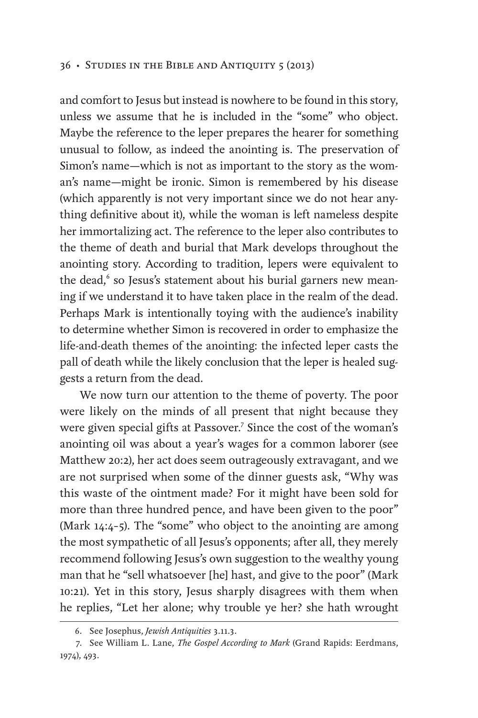and comfort to Jesus but instead is nowhere to be found in this story, unless we assume that he is included in the "some" who object. Maybe the reference to the leper prepares the hearer for something unusual to follow, as indeed the anointing is. The preservation of Simon's name—which is not as important to the story as the woman's name—might be ironic. Simon is remembered by his disease (which apparently is not very important since we do not hear anything definitive about it), while the woman is left nameless despite her immortalizing act. The reference to the leper also contributes to the theme of death and burial that Mark develops throughout the anointing story. According to tradition, lepers were equivalent to the dead,<sup>6</sup> so Jesus's statement about his burial garners new meaning if we understand it to have taken place in the realm of the dead. Perhaps Mark is intentionally toying with the audience's inability to determine whether Simon is recovered in order to emphasize the life-and-death themes of the anointing: the infected leper casts the pall of death while the likely conclusion that the leper is healed suggests a return from the dead.

We now turn our attention to the theme of poverty. The poor were likely on the minds of all present that night because they were given special gifts at Passover.<sup>7</sup> Since the cost of the woman's anointing oil was about a year's wages for a common laborer (see Matthew 20:2), her act does seem outrageously extravagant, and we are not surprised when some of the dinner guests ask, "Why was this waste of the ointment made? For it might have been sold for more than three hundred pence, and have been given to the poor" (Mark 14:4–5). The "some" who object to the anointing are among the most sympathetic of all Jesus's opponents; after all, they merely recommend following Jesus's own suggestion to the wealthy young man that he "sell whatsoever [he] hast, and give to the poor" (Mark 10:21). Yet in this story, Jesus sharply disagrees with them when he replies, "Let her alone; why trouble ye her? she hath wrought

<sup>6.</sup> See Josephus, *Jewish Antiquities* 3.11.3.

<sup>7.</sup> See William L. Lane, *The Gospel According to Mark* (Grand Rapids: Eerdmans, 1974), 493.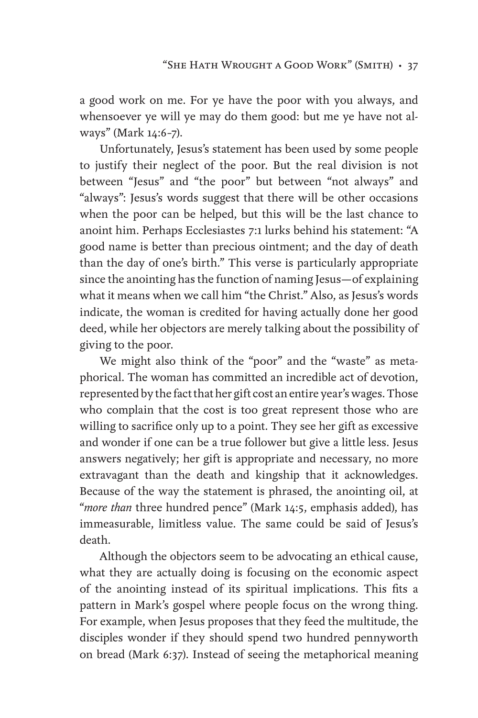a good work on me. For ye have the poor with you always, and whensoever ye will ye may do them good: but me ye have not always" (Mark 14:6–7).

Unfortunately, Jesus's statement has been used by some people to justify their neglect of the poor. But the real division is not between "Jesus" and "the poor" but between "not always" and "always": Jesus's words suggest that there will be other occasions when the poor can be helped, but this will be the last chance to anoint him. Perhaps Ecclesiastes 7:1 lurks behind his statement: "A good name is better than precious ointment; and the day of death than the day of one's birth." This verse is particularly appropriate since the anointing has the function of naming Jesus—of explaining what it means when we call him "the Christ." Also, as Jesus's words indicate, the woman is credited for having actually done her good deed, while her objectors are merely talking about the possibility of giving to the poor.

We might also think of the "poor" and the "waste" as metaphorical. The woman has committed an incredible act of devotion, represented by the fact that her gift cost an entire year's wages. Those who complain that the cost is too great represent those who are willing to sacrifice only up to a point. They see her gift as excessive and wonder if one can be a true follower but give a little less. Jesus answers negatively; her gift is appropriate and necessary, no more extravagant than the death and kingship that it acknowledges. Because of the way the statement is phrased, the anointing oil, at "*more than* three hundred pence" (Mark 14:5, emphasis added), has immeasurable, limitless value. The same could be said of Jesus's death.

Although the objectors seem to be advocating an ethical cause, what they are actually doing is focusing on the economic aspect of the anointing instead of its spiritual implications. This fits a pattern in Mark's gospel where people focus on the wrong thing. For example, when Jesus proposes that they feed the multitude, the disciples wonder if they should spend two hundred pennyworth on bread (Mark 6:37). Instead of seeing the metaphorical meaning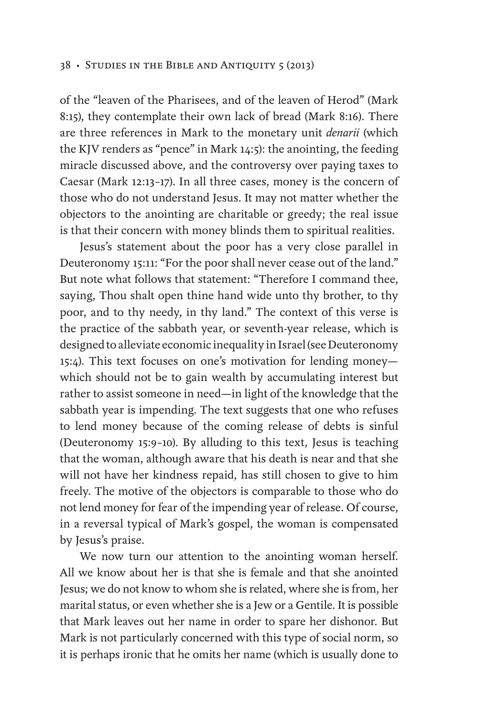of the "leaven of the Pharisees, and of the leaven of Herod" (Mark 8:15), they contemplate their own lack of bread (Mark 8:16). There are three references in Mark to the monetary unit *denarii* (which the KJV renders as "pence" in Mark 14:5): the anointing, the feeding miracle discussed above, and the controversy over paying taxes to Caesar (Mark 12:13–17). In all three cases, money is the concern of those who do not understand Jesus. It may not matter whether the objectors to the anointing are charitable or greedy; the real issue is that their concern with money blinds them to spiritual realities.

Jesus's statement about the poor has a very close parallel in Deuteronomy 15:11: "For the poor shall never cease out of the land." But note what follows that statement: "Therefore I command thee, saying, Thou shalt open thine hand wide unto thy brother, to thy poor, and to thy needy, in thy land." The context of this verse is the practice of the sabbath year, or seventh-year release, which is designed to alleviate economic inequality in Israel (see Deuteronomy 15:4). This text focuses on one's motivation for lending money which should not be to gain wealth by accumulating interest but rather to assist someone in need—in light of the knowledge that the sabbath year is impending. The text suggests that one who refuses to lend money because of the coming release of debts is sinful (Deuteronomy 15:9–10). By alluding to this text, Jesus is teaching that the woman, although aware that his death is near and that she will not have her kindness repaid, has still chosen to give to him freely. The motive of the objectors is comparable to those who do not lend money for fear of the impending year of release. Of course, in a reversal typical of Mark's gospel, the woman is compensated by Jesus's praise.

We now turn our attention to the anointing woman herself. All we know about her is that she is female and that she anointed Jesus; we do not know to whom she is related, where she is from, her marital status, or even whether she is a Jew or a Gentile. It is possible that Mark leaves out her name in order to spare her dishonor. But Mark is not particularly concerned with this type of social norm, so it is perhaps ironic that he omits her name (which is usually done to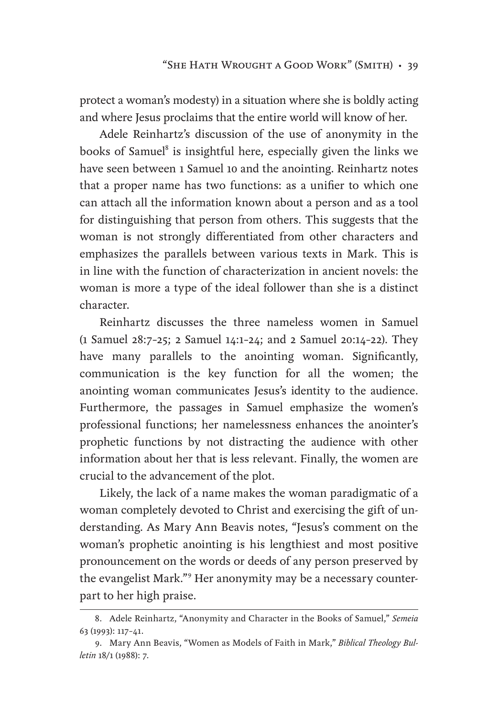protect a woman's modesty) in a situation where she is boldly acting and where Jesus proclaims that the entire world will know of her.

Adele Reinhartz's discussion of the use of anonymity in the books of Samuel<sup>8</sup> is insightful here, especially given the links we have seen between 1 Samuel 10 and the anointing. Reinhartz notes that a proper name has two functions: as a unifier to which one can attach all the information known about a person and as a tool for distinguishing that person from others. This suggests that the woman is not strongly differentiated from other characters and emphasizes the parallels between various texts in Mark. This is in line with the function of characterization in ancient novels: the woman is more a type of the ideal follower than she is a distinct character.

Reinhartz discusses the three nameless women in Samuel (1 Samuel 28:7–25; 2 Samuel 14:1–24; and 2 Samuel 20:14–22). They have many parallels to the anointing woman. Significantly, communication is the key function for all the women; the anointing woman communicates Jesus's identity to the audience. Furthermore, the passages in Samuel emphasize the women's professional functions; her namelessness enhances the anointer's prophetic functions by not distracting the audience with other information about her that is less relevant. Finally, the women are crucial to the advancement of the plot.

Likely, the lack of a name makes the woman paradigmatic of a woman completely devoted to Christ and exercising the gift of understanding. As Mary Ann Beavis notes, "Jesus's comment on the woman's prophetic anointing is his lengthiest and most positive pronouncement on the words or deeds of any person preserved by the evangelist Mark."<sup>9</sup> Her anonymity may be a necessary counterpart to her high praise.

<sup>8.</sup> Adele Reinhartz, "Anonymity and Character in the Books of Samuel," *Semeia* 63 (1993): 117–41.

<sup>9.</sup> Mary Ann Beavis, "Women as Models of Faith in Mark," *Biblical Theology Bulletin* 18/1 (1988): 7.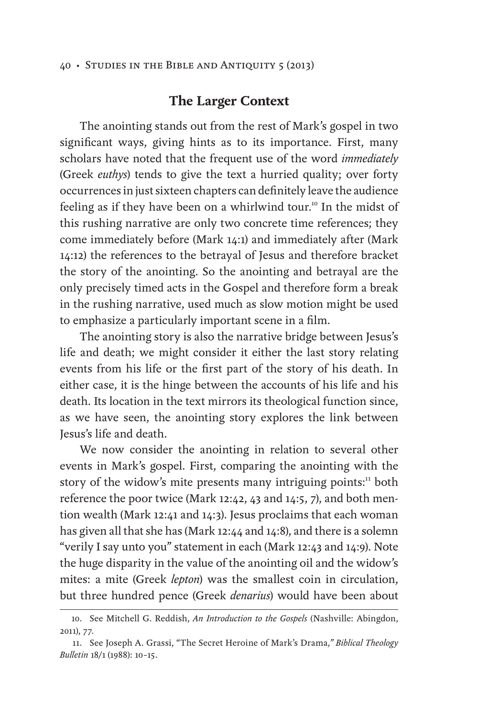## **The Larger Context**

The anointing stands out from the rest of Mark's gospel in two significant ways, giving hints as to its importance. First, many scholars have noted that the frequent use of the word *immediately* (Greek *euthys*) tends to give the text a hurried quality; over forty occurrences in just sixteen chapters can definitely leave the audience feeling as if they have been on a whirlwind tour.<sup>10</sup> In the midst of this rushing narrative are only two concrete time references; they come immediately before (Mark 14:1) and immediately after (Mark 14:12) the references to the betrayal of Jesus and therefore bracket the story of the anointing. So the anointing and betrayal are the only precisely timed acts in the Gospel and therefore form a break in the rushing narrative, used much as slow motion might be used to emphasize a particularly important scene in a film.

The anointing story is also the narrative bridge between Jesus's life and death; we might consider it either the last story relating events from his life or the first part of the story of his death. In either case, it is the hinge between the accounts of his life and his death. Its location in the text mirrors its theological function since, as we have seen, the anointing story explores the link between Jesus's life and death.

We now consider the anointing in relation to several other events in Mark's gospel. First, comparing the anointing with the story of the widow's mite presents many intriguing points: $\frac{11}{10}$  both reference the poor twice (Mark 12:42, 43 and 14:5, 7), and both mention wealth (Mark 12:41 and 14:3). Jesus proclaims that each woman has given all that she has (Mark 12:44 and 14:8), and there is a solemn "verily I say unto you" statement in each (Mark 12:43 and 14:9). Note the huge disparity in the value of the anointing oil and the widow's mites: a mite (Greek *lepton*) was the smallest coin in circulation, but three hundred pence (Greek *denarius*) would have been about

<sup>10.</sup> See Mitchell G. Reddish, *An Introduction to the Gospels* (Nashville: Abingdon, 2011), 77.

<sup>11.</sup> See Joseph A. Grassi, "The Secret Heroine of Mark's Drama,*" Biblical Theology Bulletin* 18/1 (1988): 10–15.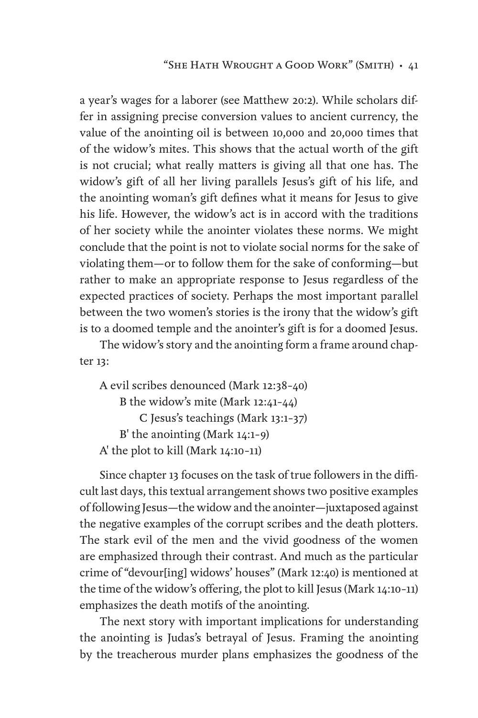a year's wages for a laborer (see Matthew 20:2). While scholars differ in assigning precise conversion values to ancient currency, the value of the anointing oil is between 10,000 and 20,000 times that of the widow's mites. This shows that the actual worth of the gift is not crucial; what really matters is giving all that one has. The widow's gift of all her living parallels Jesus's gift of his life, and the anointing woman's gift defines what it means for Jesus to give his life. However, the widow's act is in accord with the traditions of her society while the anointer violates these norms. We might conclude that the point is not to violate social norms for the sake of violating them—or to follow them for the sake of conforming—but rather to make an appropriate response to Jesus regardless of the expected practices of society. Perhaps the most important parallel between the two women's stories is the irony that the widow's gift is to a doomed temple and the anointer's gift is for a doomed Jesus.

The widow's story and the anointing form a frame around chapter 13:

```
A evil scribes denounced (Mark 12:38–40)
    B the widow's mite (Mark 12:41–44)
        C Jesus's teachings (Mark 13:1–37)
    B' the anointing (Mark 14:1–9)
A' the plot to kill (Mark 14:10–11)
```
Since chapter 13 focuses on the task of true followers in the difficult last days, this textual arrangement shows two positive examples of following Jesus—the widow and the anointer—juxtaposed against the negative examples of the corrupt scribes and the death plotters. The stark evil of the men and the vivid goodness of the women are emphasized through their contrast. And much as the particular crime of "devour[ing] widows' houses" (Mark 12:40) is mentioned at the time of the widow's offering, the plot to kill Jesus (Mark 14:10–11) emphasizes the death motifs of the anointing.

The next story with important implications for understanding the anointing is Judas's betrayal of Jesus. Framing the anointing by the treacherous murder plans emphasizes the goodness of the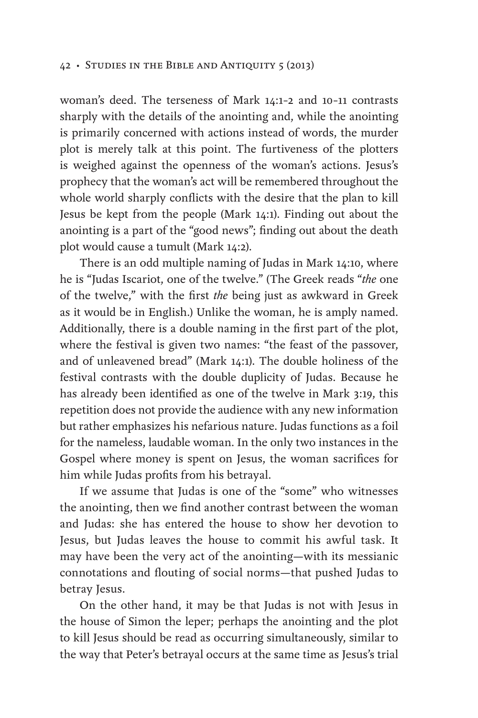woman's deed. The terseness of Mark 14:1–2 and 10–11 contrasts sharply with the details of the anointing and, while the anointing is primarily concerned with actions instead of words, the murder plot is merely talk at this point. The furtiveness of the plotters is weighed against the openness of the woman's actions. Jesus's prophecy that the woman's act will be remembered throughout the whole world sharply conflicts with the desire that the plan to kill Jesus be kept from the people (Mark 14:1). Finding out about the anointing is a part of the "good news"; finding out about the death plot would cause a tumult (Mark 14:2).

There is an odd multiple naming of Judas in Mark 14:10, where he is "Judas Iscariot, one of the twelve." (The Greek reads "*the* one of the twelve," with the first *the* being just as awkward in Greek as it would be in English.) Unlike the woman, he is amply named. Additionally, there is a double naming in the first part of the plot, where the festival is given two names: "the feast of the passover, and of unleavened bread" (Mark 14:1). The double holiness of the festival contrasts with the double duplicity of Judas. Because he has already been identified as one of the twelve in Mark 3:19, this repetition does not provide the audience with any new information but rather emphasizes his nefarious nature. Judas functions as a foil for the nameless, laudable woman. In the only two instances in the Gospel where money is spent on Jesus, the woman sacrifices for him while Judas profits from his betrayal.

If we assume that Judas is one of the "some" who witnesses the anointing, then we find another contrast between the woman and Judas: she has entered the house to show her devotion to Jesus, but Judas leaves the house to commit his awful task. It may have been the very act of the anointing—with its messianic connotations and flouting of social norms—that pushed Judas to betray Jesus.

On the other hand, it may be that Judas is not with Jesus in the house of Simon the leper; perhaps the anointing and the plot to kill Jesus should be read as occurring simultaneously, similar to the way that Peter's betrayal occurs at the same time as Jesus's trial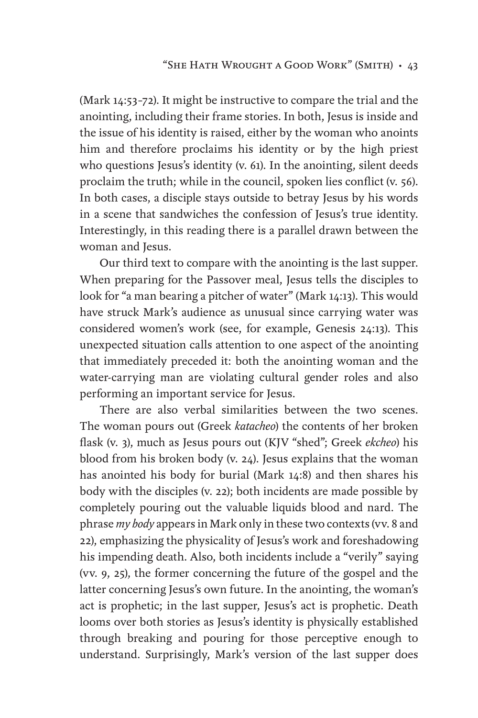(Mark 14:53–72). It might be instructive to compare the trial and the anointing, including their frame stories. In both, Jesus is inside and the issue of his identity is raised, either by the woman who anoints him and therefore proclaims his identity or by the high priest who questions Jesus's identity (v. 61). In the anointing, silent deeds proclaim the truth; while in the council, spoken lies conflict (v. 56). In both cases, a disciple stays outside to betray Jesus by his words in a scene that sandwiches the confession of Jesus's true identity. Interestingly, in this reading there is a parallel drawn between the woman and Jesus.

Our third text to compare with the anointing is the last supper. When preparing for the Passover meal, Jesus tells the disciples to look for "a man bearing a pitcher of water" (Mark 14:13). This would have struck Mark's audience as unusual since carrying water was considered women's work (see, for example, Genesis 24:13). This unexpected situation calls attention to one aspect of the anointing that immediately preceded it: both the anointing woman and the water-carrying man are violating cultural gender roles and also performing an important service for Jesus.

There are also verbal similarities between the two scenes. The woman pours out (Greek *katacheo*) the contents of her broken flask (v. 3), much as Jesus pours out (KJV "shed"; Greek *ekcheo*) his blood from his broken body (v. 24). Jesus explains that the woman has anointed his body for burial (Mark 14:8) and then shares his body with the disciples (v. 22); both incidents are made possible by completely pouring out the valuable liquids blood and nard. The phrase *my body* appears in Mark only in these two contexts (vv. 8 and 22), emphasizing the physicality of Jesus's work and foreshadowing his impending death. Also, both incidents include a "verily" saying (vv. 9, 25), the former concerning the future of the gospel and the latter concerning Jesus's own future. In the anointing, the woman's act is prophetic; in the last supper, Jesus's act is prophetic. Death looms over both stories as Jesus's identity is physically established through breaking and pouring for those perceptive enough to understand. Surprisingly, Mark's version of the last supper does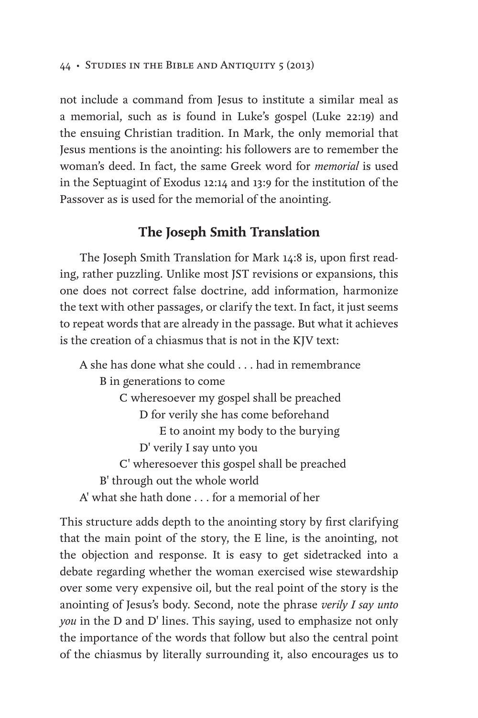not include a command from Jesus to institute a similar meal as a memorial, such as is found in Luke's gospel (Luke 22:19) and the ensuing Christian tradition. In Mark, the only memorial that Jesus mentions is the anointing: his followers are to remember the woman's deed. In fact, the same Greek word for *memorial* is used in the Septuagint of Exodus 12:14 and 13:9 for the institution of the Passover as is used for the memorial of the anointing.

## **The Joseph Smith Translation**

The Joseph Smith Translation for Mark 14:8 is, upon first reading, rather puzzling. Unlike most JST revisions or expansions, this one does not correct false doctrine, add information, harmonize the text with other passages, or clarify the text. In fact, it just seems to repeat words that are already in the passage. But what it achieves is the creation of a chiasmus that is not in the KJV text:

A she has done what she could . . . had in remembrance B in generations to come C wheresoever my gospel shall be preached D for verily she has come beforehand E to anoint my body to the burying D' verily I say unto you C' wheresoever this gospel shall be preached B' through out the whole world A' what she hath done . . . for a memorial of her

This structure adds depth to the anointing story by first clarifying that the main point of the story, the E line, is the anointing, not the objection and response. It is easy to get sidetracked into a debate regarding whether the woman exercised wise stewardship over some very expensive oil, but the real point of the story is the anointing of Jesus's body. Second, note the phrase *verily I say unto you* in the D and D' lines. This saying, used to emphasize not only the importance of the words that follow but also the central point of the chiasmus by literally surrounding it, also encourages us to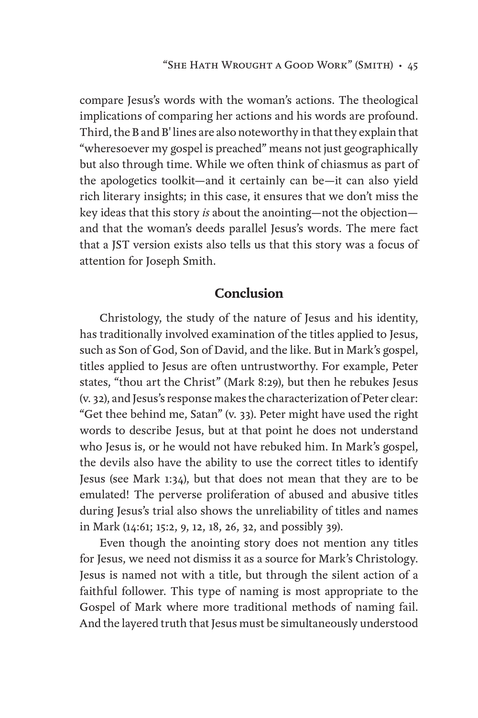compare Jesus's words with the woman's actions. The theological implications of comparing her actions and his words are profound. Third, the B and B' lines are also noteworthy in that they explain that "wheresoever my gospel is preached" means not just geographically but also through time. While we often think of chiasmus as part of the apologetics toolkit—and it certainly can be—it can also yield rich literary insights; in this case, it ensures that we don't miss the key ideas that this story *is* about the anointing—not the objection and that the woman's deeds parallel Jesus's words. The mere fact that a JST version exists also tells us that this story was a focus of attention for Joseph Smith.

## **Conclusion**

Christology, the study of the nature of Jesus and his identity, has traditionally involved examination of the titles applied to Jesus, such as Son of God, Son of David, and the like. But in Mark's gospel, titles applied to Jesus are often untrustworthy. For example, Peter states, "thou art the Christ" (Mark 8:29), but then he rebukes Jesus (v. 32), and Jesus's response makes the characterization of Peter clear: "Get thee behind me, Satan" (v. 33). Peter might have used the right words to describe Jesus, but at that point he does not understand who Jesus is, or he would not have rebuked him. In Mark's gospel, the devils also have the ability to use the correct titles to identify Jesus (see Mark 1:34), but that does not mean that they are to be emulated! The perverse proliferation of abused and abusive titles during Jesus's trial also shows the unreliability of titles and names in Mark (14:61; 15:2, 9, 12, 18, 26, 32, and possibly 39).

Even though the anointing story does not mention any titles for Jesus, we need not dismiss it as a source for Mark's Christology. Jesus is named not with a title, but through the silent action of a faithful follower. This type of naming is most appropriate to the Gospel of Mark where more traditional methods of naming fail. And the layered truth that Jesus must be simultaneously understood